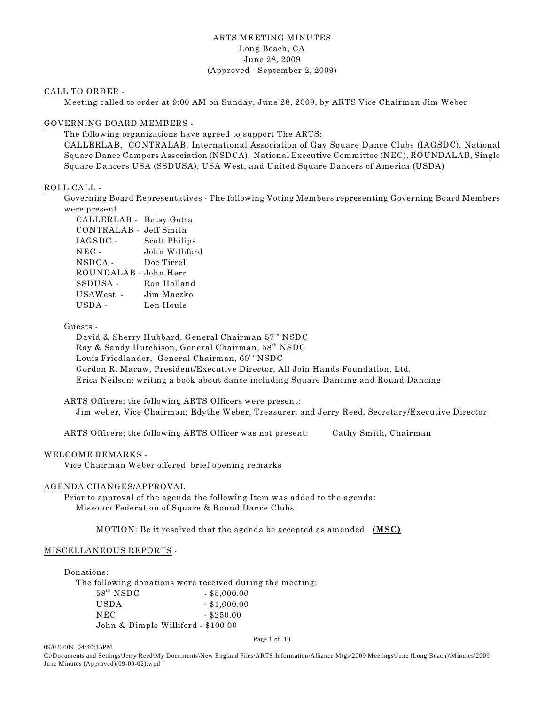# ARTS MEETING MINUTES Long Beach, CA June 28, 2009 (Approved - September 2, 2009)

#### CALL TO ORDER -

Meeting called to order at 9:00 AM on Sunday, June 28, 2009, by ARTS Vice Chairman Jim Weber

# GOVERNING BOARD MEMBERS -

The following organizations have agreed to support The ARTS:

CALLERLAB, CONTRALAB, International Association of Gay Square Dance Clubs (IAGSDC), National Square Dance Campers Association (NSDCA), National Executive Committee (NEC), ROUNDALAB, Single Square Dancers USA (SSDUSA), USA West, and United Square Dancers of America (USDA)

#### ROLL CALL -

Governing Board Representatives - The following Voting Members representing Governing Board Members were present

| CALLERLAB - Betsy Gotta |                      |
|-------------------------|----------------------|
| CONTRALAB - Jeff Smith  |                      |
| IAGSDC -                | <b>Scott Philips</b> |
| $NEC -$                 | John Williford       |
| NSDCA -                 | Doc Tirrell          |
| ROUNDALAB - John Herr   |                      |
| SSDUSA -                | Ron Holland          |
| USAWest -               | Jim Maczko           |
| USDA-                   | Len Houle            |

#### Guests -

David & Sherry Hubbard, General Chairman 57<sup>th</sup> NSDC Ray & Sandy Hutchison, General Chairman, 58<sup>th</sup> NSDC Louis Friedlander, General Chairman,  $60^{th}$  NSDC Gordon R. Macaw, President/Executive Director, All Join Hands Foundation, Ltd. Erica Neilson; writing a book about dance including Square Dancing and Round Dancing

ARTS Officers; the following ARTS Officers were present: Jim weber, Vice Chairman; Edythe Weber, Treasurer; and Jerry Reed, Secretary/Executive Director

ARTS Officers; the following ARTS Officer was not present: Cathy Smith, Chairman

#### WELCOME REMARKS -

Vice Chairman Weber offered brief opening remarks

#### AGENDA CHANGES/APPROVAL

Prior to approval of the agenda the following Item was added to the agenda: Missouri Federation of Square & Round Dance Clubs

MOTION: Be it resolved that the agenda be accepted as amended. **(MSC)**

#### MISCELLANEOUS REPORTS -

Donations:

09/022009 04:40:15PM

The following donations were received during the meeting:

| $58^{th}$ NSDC                     | $-$ \$5,000.00 |
|------------------------------------|----------------|
| <b>USDA</b>                        | $-$ \$1,000.00 |
| NEC                                | $-$ \$250.00   |
| John & Dimple Williford - \$100.00 |                |

Page 1 of 13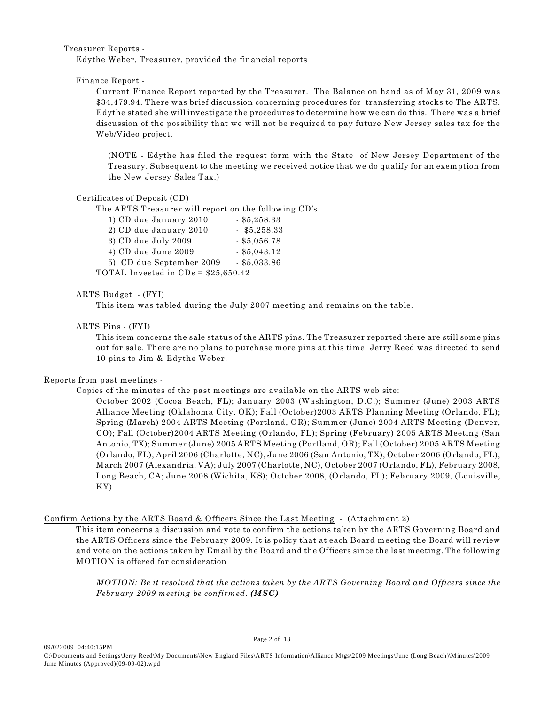Treasurer Reports -

Edythe Weber, Treasurer, provided the financial reports

Finance Report -

Current Finance Report reported by the Treasurer. The Balance on hand as of May 31, 2009 was \$34,479.94. There was brief discussion concerning procedures for transferring stocks to The ARTS. Edythe stated she will investigate the procedures to determine how we can do this. There was a brief discussion of the possibility that we will not be required to pay future New Jersey sales tax for the Web/Video project.

(NOTE - Edythe has filed the request form with the State of New Jersey Department of the Treasury. Subsequent to the meeting we received notice that we do qualify for an exemption from the New Jersey Sales Tax.)

## Certificates of Deposit (CD)

The ARTS Treasurer will report on the following CD's

| 1) CD due January 2010               | $-$ \$5,258.33 |
|--------------------------------------|----------------|
| 2) CD due January 2010               | $-$ \$5,258.33 |
| 3) CD due July 2009                  | $-$ \$5,056.78 |
| 4) CD due June 2009                  | $-$ \$5,043.12 |
| 5) CD due September 2009             | $-$ \$5,033.86 |
| TOTAL Invested in $CDs = $25,650.42$ |                |

# ARTS Budget - (FYI)

This item was tabled during the July 2007 meeting and remains on the table.

## ARTS Pins - (FYI)

This item concerns the sale status of the ARTS pins. The Treasurer reported there are still some pins out for sale. There are no plans to purchase more pins at this time. Jerry Reed was directed to send 10 pins to Jim & Edythe Weber.

# Reports from past meetings -

Copies of the minutes of the past meetings are available on the ARTS web site:

October 2002 (Cocoa Beach, FL); January 2003 (Washington, D.C.); Summer (June) 2003 ARTS Alliance Meeting (Oklahoma City, OK); Fall (October)2003 ARTS Planning Meeting (Orlando, FL); Spring (March) 2004 ARTS Meeting (Portland, OR); Summer (June) 2004 ARTS Meeting (Denver, CO); Fall (October)2004 ARTS Meeting (Orlando, FL); Spring (February) 2005 ARTS Meeting (San Antonio, TX); Summer (June) 2005 ARTS Meeting (Portland, OR); Fall (October) 2005 ARTS Meeting (Orlando, FL); April 2006 (Charlotte, NC); June 2006 (San Antonio, TX), October 2006 (Orlando, FL); March 2007 (Alexandria, VA); July 2007 (Charlotte, NC), October 2007 (Orlando, FL), February 2008, Long Beach, CA; June 2008 (Wichita, KS); October 2008, (Orlando, FL); February 2009, (Louisville, KY)

# Confirm Actions by the ARTS Board & Officers Since the Last Meeting - (Attachment 2)

This item concerns a discussion and vote to confirm the actions taken by the ARTS Governing Board and the ARTS Officers since the February 2009. It is policy that at each Board meeting the Board will review and vote on the actions taken by Email by the Board and the Officers since the last meeting. The following MOTION is offered for consideration

*MOTION: Be it resolved that the actions taken by the ARTS Governing Board and Officers since the February 2009 meeting be confirmed. (MSC)*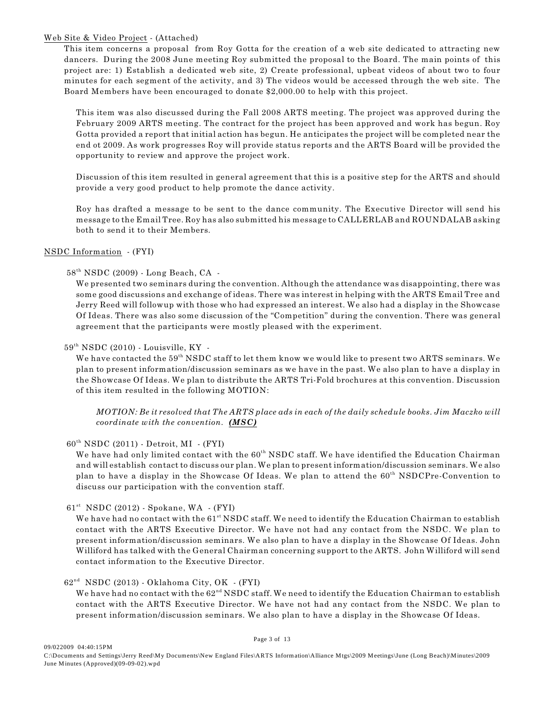## Web Site & Video Project - (Attached)

This item concerns a proposal from Roy Gotta for the creation of a web site dedicated to attracting new dancers. During the 2008 June meeting Roy submitted the proposal to the Board. The main points of this project are: 1) Establish a dedicated web site, 2) Create professional, upbeat videos of about two to four minutes for each segment of the activity, and 3) The videos would be accessed through the web site. The Board Members have been encouraged to donate \$2,000.00 to help with this project.

This item was also discussed during the Fall 2008 ARTS meeting. The project was approved during the February 2009 ARTS meeting. The contract for the project has been approved and work has begun. Roy Gotta provided a report that initial action has begun. He anticipates the project will be completed near the end ot 2009. As work progresses Roy will provide status reports and the ARTS Board will be provided the opportunity to review and approve the project work.

Discussion of this item resulted in general agreement that this is a positive step for the ARTS and should provide a very good product to help promote the dance activity.

Roy has drafted a message to be sent to the dance community. The Executive Director will send his message to the Email Tree. Roy has also submitted his message to CALLERLAB and ROUNDALAB asking both to send it to their Members.

## NSDC Information - (FYI)

## $58<sup>th</sup> NSDC (2009)$  - Long Beach, CA -

We presented two seminars during the convention. Although the attendance was disappointing, there was some good discussions and exchange of ideas. There was interest in helping with the ARTS Email Tree and Jerry Reed will followup with those who had expressed an interest. We also had a display in the Showcase Of Ideas. There was also some discussion of the "Competition" during the convention. There was general agreement that the participants were mostly pleased with the experiment.

## $59<sup>th</sup> NSDC (2010)$  - Louisville, KY -

We have contacted the  $59<sup>th</sup>$  NSDC staff to let them know we would like to present two ARTS seminars. We plan to present information/discussion seminars as we have in the past. We also plan to have a display in the Showcase Of Ideas. We plan to distribute the ARTS Tri-Fold brochures at this convention. Discussion of this item resulted in the following MOTION:

*MOTION: Be it resolved that The ARTS place ads in each of the daily schedule books. Jim Maczko will coordinate with the convention. (MSC)*

#### $60<sup>th</sup> NSDC (2011) - Detroit, MI - (FYI)$

We have had only limited contact with the 60<sup>th</sup> NSDC staff. We have identified the Education Chairman and will establish contact to discuss our plan. We plan to present information/discussion seminars. We also plan to have a display in the Showcase Of Ideas. We plan to attend the 60<sup>th</sup> NSDCPre-Convention to discuss our participation with the convention staff.

#### $61<sup>st</sup>$  NSDC (2012) - Spokane, WA - (FYI)

We have had no contact with the  $61<sup>st</sup>$  NSDC staff. We need to identify the Education Chairman to establish contact with the ARTS Executive Director. We have not had any contact from the NSDC. We plan to present information/discussion seminars. We also plan to have a display in the Showcase Of Ideas. John Williford has talked with the General Chairman concerning support to the ARTS. John Williford will send contact information to the Executive Director.

#### $62<sup>nd</sup> NSDC (2013) - Oklahoma City, OK - (FYI)$

We have had no contact with the  $62<sup>nd</sup>$  NSDC staff. We need to identify the Education Chairman to establish contact with the ARTS Executive Director. We have not had any contact from the NSDC. We plan to present information/discussion seminars. We also plan to have a display in the Showcase Of Ideas.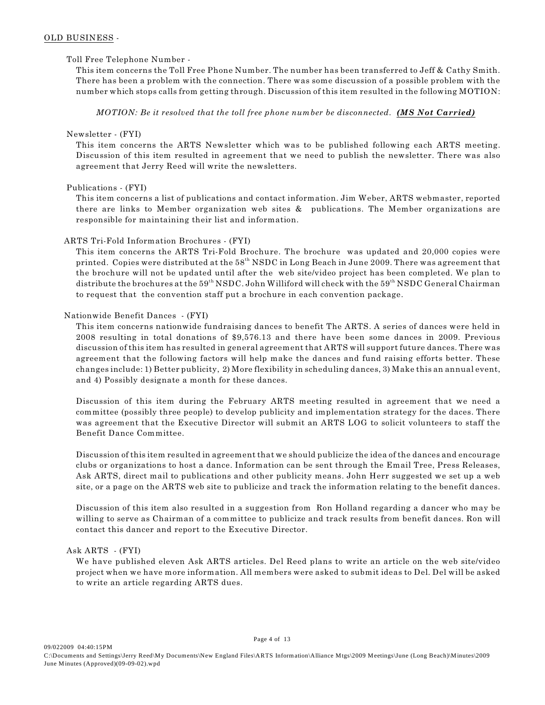## OLD BUSINESS -

## Toll Free Telephone Number -

This item concerns the Toll Free Phone Number. The number has been transferred to Jeff & Cathy Smith. There has been a problem with the connection. There was some discussion of a possible problem with the number which stops calls from getting through. Discussion of this item resulted in the following MOTION:

*MOTION: Be it resolved that the toll free phone number be disconnected. (MS Not Carried)*

#### Newsletter - (FYI)

This item concerns the ARTS Newsletter which was to be published following each ARTS meeting. Discussion of this item resulted in agreement that we need to publish the newsletter. There was also agreement that Jerry Reed will write the newsletters.

# Publications - (FYI)

This item concerns a list of publications and contact information. Jim Weber, ARTS webmaster, reported there are links to Member organization web sites & publications. The Member organizations are responsible for maintaining their list and information.

## ARTS Tri-Fold Information Brochures - (FYI)

This item concerns the ARTS Tri-Fold Brochure. The brochure was updated and 20,000 copies were printed. Copies were distributed at the  $58<sup>th</sup>$  NSDC in Long Beach in June 2009. There was agreement that the brochure will not be updated until after the web site/video project has been completed. We plan to distribute the brochures at the  $59^{th}$  NSDC. John Williford will check with the  $59^{th}$  NSDC General Chairman to request that the convention staff put a brochure in each convention package.

## Nationwide Benefit Dances - (FYI)

This item concerns nationwide fundraising dances to benefit The ARTS. A series of dances were held in 2008 resulting in total donations of \$9,576.13 and there have been some dances in 2009. Previous discussion of this item has resulted in general agreement that ARTS will support future dances. There was agreement that the following factors will help make the dances and fund raising efforts better. These changes include: 1) Better publicity, 2) More flexibility in scheduling dances, 3) Make this an annual event, and 4) Possibly designate a month for these dances.

Discussion of this item during the February ARTS meeting resulted in agreement that we need a committee (possibly three people) to develop publicity and implementation strategy for the daces. There was agreement that the Executive Director will submit an ARTS LOG to solicit volunteers to staff the Benefit Dance Committee.

Discussion of this item resulted in agreement that we should publicize the idea of the dances and encourage clubs or organizations to host a dance. Information can be sent through the Email Tree, Press Releases, Ask ARTS, direct mail to publications and other publicity means. John Herr suggested we set up a web site, or a page on the ARTS web site to publicize and track the information relating to the benefit dances.

Discussion of this item also resulted in a suggestion from Ron Holland regarding a dancer who may be willing to serve as Chairman of a committee to publicize and track results from benefit dances. Ron will contact this dancer and report to the Executive Director.

# Ask ARTS - (FYI)

We have published eleven Ask ARTS articles. Del Reed plans to write an article on the web site/video project when we have more information. All members were asked to submit ideas to Del. Del will be asked to write an article regarding ARTS dues.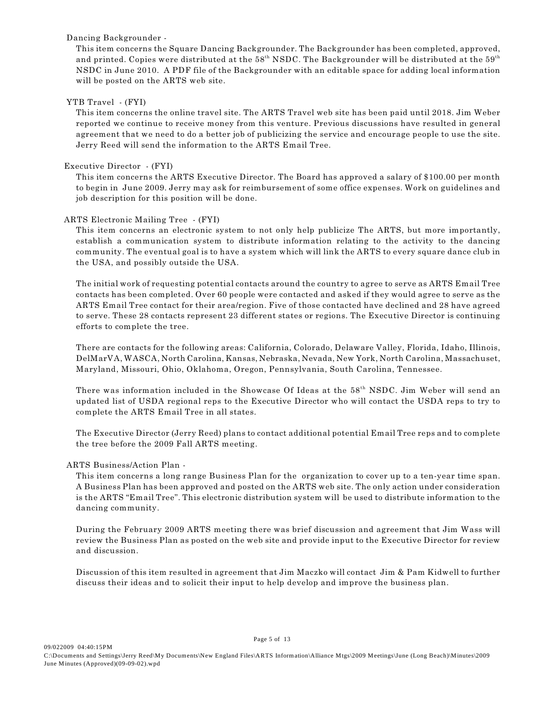# Dancing Backgrounder -

This item concerns the Square Dancing Backgrounder. The Backgrounder has been completed, approved, and printed. Copies were distributed at the  $58<sup>th</sup>$  NSDC. The Backgrounder will be distributed at the  $59<sup>th</sup>$ NSDC in June 2010. A PDF file of the Backgrounder with an editable space for adding local information will be posted on the ARTS web site.

## YTB Travel - (FYI)

This item concerns the online travel site. The ARTS Travel web site has been paid until 2018. Jim Weber reported we continue to receive money from this venture. Previous discussions have resulted in general agreement that we need to do a better job of publicizing the service and encourage people to use the site. Jerry Reed will send the information to the ARTS Email Tree.

## Executive Director - (FYI)

This item concerns the ARTS Executive Director. The Board has approved a salary of \$100.00 per month to begin in June 2009. Jerry may ask for reimbursement of some office expenses. Work on guidelines and job description for this position will be done.

## ARTS Electronic Mailing Tree - (FYI)

This item concerns an electronic system to not only help publicize The ARTS, but more importantly, establish a communication system to distribute information relating to the activity to the dancing community. The eventual goal is to have a system which will link the ARTS to every square dance club in the USA, and possibly outside the USA.

The initial work of requesting potential contacts around the country to agree to serve as ARTS Email Tree contacts has been completed. Over 60 people were contacted and asked if they would agree to serve as the ARTS Email Tree contact for their area/region. Five of those contacted have declined and 28 have agreed to serve. These 28 contacts represent 23 different states or regions. The Executive Director is continuing efforts to complete the tree.

There are contacts for the following areas: California, Colorado, Delaware Valley, Florida, Idaho, Illinois, DelMarVA, WASCA, North Carolina, Kansas, Nebraska, Nevada, New York, North Carolina, Massachuset, Maryland, Missouri, Ohio, Oklahoma, Oregon, Pennsylvania, South Carolina, Tennessee.

There was information included in the Showcase Of Ideas at the 58<sup>th</sup> NSDC. Jim Weber will send an updated list of USDA regional reps to the Executive Director who will contact the USDA reps to try to complete the ARTS Email Tree in all states.

The Executive Director (Jerry Reed) plans to contact additional potential Email Tree reps and to complete the tree before the 2009 Fall ARTS meeting.

# ARTS Business/Action Plan -

This item concerns a long range Business Plan for the organization to cover up to a ten-year time span. A Business Plan has been approved and posted on the ARTS web site. The only action under consideration is the ARTS "Email Tree". This electronic distribution system will be used to distribute information to the dancing community.

During the February 2009 ARTS meeting there was brief discussion and agreement that Jim Wass will review the Business Plan as posted on the web site and provide input to the Executive Director for review and discussion.

Discussion of this item resulted in agreement that Jim Maczko will contact Jim & Pam Kidwell to further discuss their ideas and to solicit their input to help develop and improve the business plan.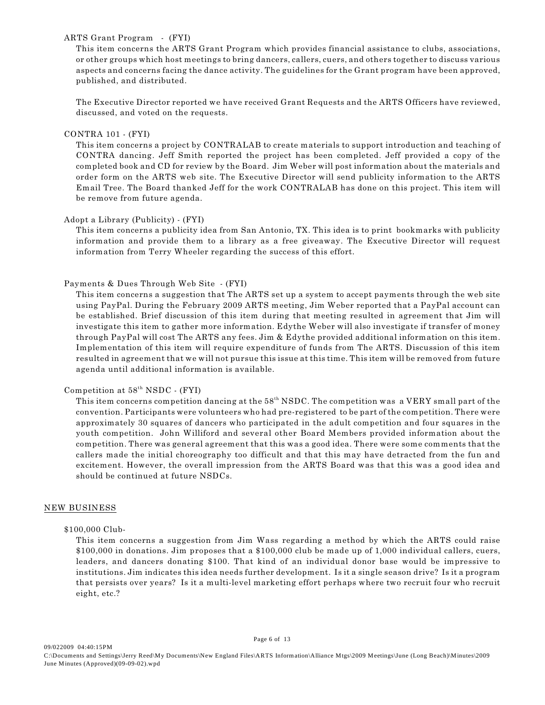#### ARTS Grant Program - (FYI)

This item concerns the ARTS Grant Program which provides financial assistance to clubs, associations, or other groups which host meetings to bring dancers, callers, cuers, and others together to discuss various aspects and concerns facing the dance activity. The guidelines for the Grant program have been approved, published, and distributed.

The Executive Director reported we have received Grant Requests and the ARTS Officers have reviewed, discussed, and voted on the requests.

#### CONTRA 101 - (FYI)

This item concerns a project by CONTRALAB to create materials to support introduction and teaching of CONTRA dancing. Jeff Smith reported the project has been completed. Jeff provided a copy of the completed book and CD for review by the Board. Jim Weber will post information about the materials and order form on the ARTS web site. The Executive Director will send publicity information to the ARTS Email Tree. The Board thanked Jeff for the work CONTRALAB has done on this project. This item will be remove from future agenda.

#### Adopt a Library (Publicity) - (FYI)

This item concerns a publicity idea from San Antonio, TX. This idea is to print bookmarks with publicity information and provide them to a library as a free giveaway. The Executive Director will request information from Terry Wheeler regarding the success of this effort.

## Payments & Dues Through Web Site - (FYI)

This item concerns a suggestion that The ARTS set up a system to accept payments through the web site using PayPal. During the February 2009 ARTS meeting, Jim Weber reported that a PayPal account can be established. Brief discussion of this item during that meeting resulted in agreement that Jim will investigate this item to gather more information. Edythe Weber will also investigate if transfer of money through PayPal will cost The ARTS any fees. Jim & Edythe provided additional information on this item. Implementation of this item will require expenditure of funds from The ARTS. Discussion of this item resulted in agreement that we will not pursue this issue at this time. This item will be removed from future agenda until additional information is available.

#### Competition at  $58<sup>th</sup>$  NSDC - (FYI)

This item concerns competition dancing at the  $58<sup>th</sup>$  NSDC. The competition was a VERY small part of the convention. Participants were volunteers who had pre-registered to be part of the competition. There were approximately 30 squares of dancers who participated in the adult competition and four squares in the youth competition. John Williford and several other Board Members provided information about the competition. There was general agreement that this was a good idea. There were some comments that the callers made the initial choreography too difficult and that this may have detracted from the fun and excitement. However, the overall impression from the ARTS Board was that this was a good idea and should be continued at future NSDCs.

#### NEW BUSINESS

#### \$100,000 Club-

This item concerns a suggestion from Jim Wass regarding a method by which the ARTS could raise \$100,000 in donations. Jim proposes that a \$100,000 club be made up of 1,000 individual callers, cuers, leaders, and dancers donating \$100. That kind of an individual donor base would be impressive to institutions. Jim indicates this idea needs further development. Is it a single season drive? Is it a program that persists over years? Is it a multi-level marketing effort perhaps where two recruit four who recruit eight, etc.?

Page 6 of 13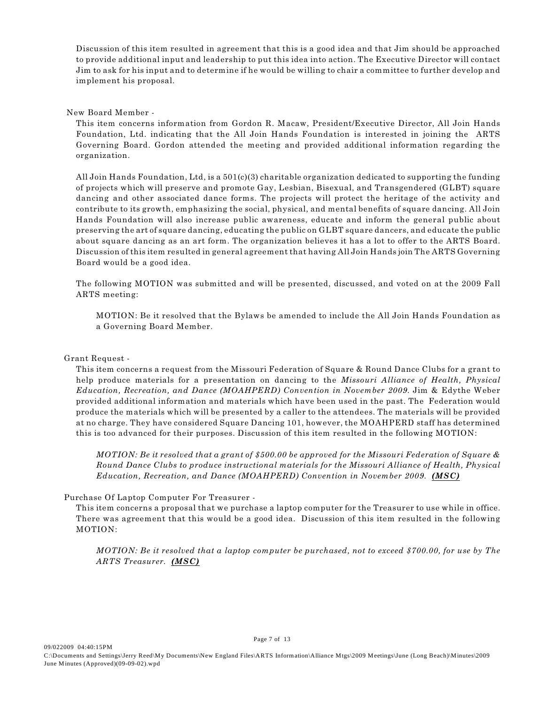Discussion of this item resulted in agreement that this is a good idea and that Jim should be approached to provide additional input and leadership to put this idea into action. The Executive Director will contact Jim to ask for his input and to determine if he would be willing to chair a committee to further develop and implement his proposal.

New Board Member -

This item concerns information from Gordon R. Macaw, President/Executive Director, All Join Hands Foundation, Ltd. indicating that the All Join Hands Foundation is interested in joining the ARTS Governing Board. Gordon attended the meeting and provided additional information regarding the organization.

All Join Hands Foundation, Ltd, is a 501(c)(3) charitable organization dedicated to supporting the funding of projects which will preserve and promote Gay, Lesbian, Bisexual, and Transgendered (GLBT) square dancing and other associated dance forms. The projects will protect the heritage of the activity and contribute to its growth, emphasizing the social, physical, and mental benefits of square dancing. All Join Hands Foundation will also increase public awareness, educate and inform the general public about preserving the art of square dancing, educating the public on GLBT square dancers, and educate the public about square dancing as an art form. The organization believes it has a lot to offer to the ARTS Board. Discussion of this item resulted in general agreement that having All Join Hands join The ARTS Governing Board would be a good idea.

The following MOTION was submitted and will be presented, discussed, and voted on at the 2009 Fall ARTS meeting:

MOTION: Be it resolved that the Bylaws be amended to include the All Join Hands Foundation as a Governing Board Member.

#### Grant Request -

This item concerns a request from the Missouri Federation of Square & Round Dance Clubs for a grant to help produce materials for a presentation on dancing to the *Missouri Alliance of Health, Physical Education, Recreation, and Dance (MOAHPERD) Convention in November 2009.* Jim & Edythe Weber provided additional information and materials which have been used in the past. The Federation would produce the materials which will be presented by a caller to the attendees. The materials will be provided at no charge. They have considered Square Dancing 101, however, the MOAHPERD staff has determined this is too advanced for their purposes. Discussion of this item resulted in the following MOTION:

*MOTION: Be it resolved that a grant of \$500.00 be approved for the Missouri Federation of Square & Round Dance Clubs to produce instructional materials for the Missouri Alliance of Health, Physical Education, Recreation, and Dance (MOAHPERD) Convention in November 2009. (MSC)*

# Purchase Of Laptop Computer For Treasurer -

This item concerns a proposal that we purchase a laptop computer for the Treasurer to use while in office. There was agreement that this would be a good idea. Discussion of this item resulted in the following MOTION:

*MOTION: Be it resolved that a laptop computer be purchased, not to exceed \$700.00, for use by The ARTS Treasurer. (MSC)*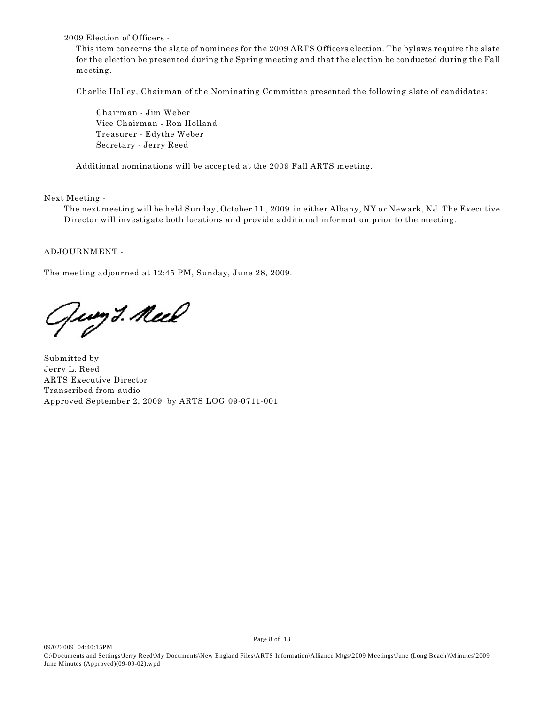2009 Election of Officers -

This item concerns the slate of nominees for the 2009 ARTS Officers election. The bylaws require the slate for the election be presented during the Spring meeting and that the election be conducted during the Fall meeting.

Charlie Holley, Chairman of the Nominating Committee presented the following slate of candidates:

Chairman - Jim Weber Vice Chairman - Ron Holland Treasurer - Edythe Weber Secretary - Jerry Reed

Additional nominations will be accepted at the 2009 Fall ARTS meeting.

Next Meeting -

The next meeting will be held Sunday, October 11 , 2009 in either Albany, NY or Newark, NJ. The Executive Director will investigate both locations and provide additional information prior to the meeting.

## ADJOURNMENT -

The meeting adjourned at 12:45 PM, Sunday, June 28, 2009.

Jung J. Neel

Submitted by Jerry L. Reed ARTS Executive Director Transcribed from audio Approved September 2, 2009 by ARTS LOG 09-0711-001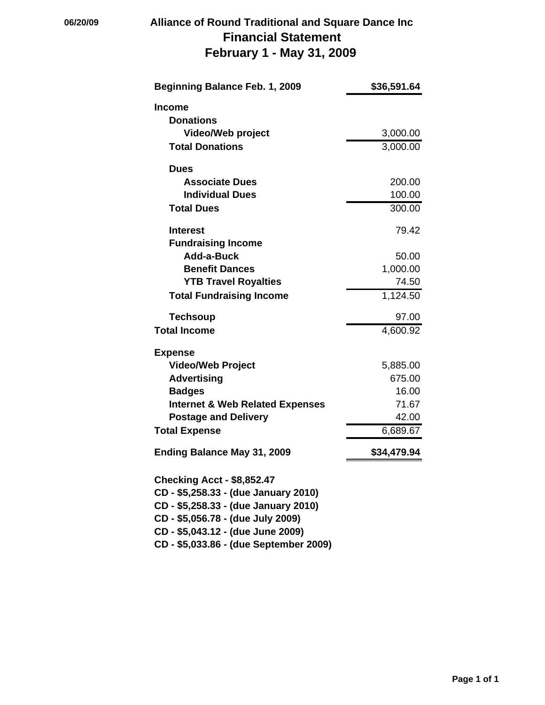# **06/20/09 Alliance of Round Traditional and Square Dance Inc Financial Statement February 1 - May 31, 2009**

| Beginning Balance Feb. 1, 2009             | \$36,591.64 |
|--------------------------------------------|-------------|
| Income                                     |             |
| <b>Donations</b>                           |             |
| <b>Video/Web project</b>                   | 3,000.00    |
| <b>Total Donations</b>                     | 3,000.00    |
| <b>Dues</b>                                |             |
| <b>Associate Dues</b>                      | 200.00      |
| <b>Individual Dues</b>                     | 100.00      |
| <b>Total Dues</b>                          | 300.00      |
| <b>Interest</b>                            | 79.42       |
| <b>Fundraising Income</b>                  |             |
| Add-a-Buck                                 | 50.00       |
| <b>Benefit Dances</b>                      | 1,000.00    |
| <b>YTB Travel Royalties</b>                | 74.50       |
| <b>Total Fundraising Income</b>            | 1,124.50    |
| <b>Techsoup</b>                            | 97.00       |
| <b>Total Income</b>                        | 4,600.92    |
| <b>Expense</b>                             |             |
| <b>Video/Web Project</b>                   | 5,885.00    |
| <b>Advertising</b>                         | 675.00      |
| <b>Badges</b>                              | 16.00       |
| <b>Internet &amp; Web Related Expenses</b> | 71.67       |
| <b>Postage and Delivery</b>                | 42.00       |
| <b>Total Expense</b>                       | 6,689.67    |
| <b>Ending Balance May 31, 2009</b>         | \$34,479.94 |
| <b>Checking Acct - \$8,852.47</b>          |             |
| CD - \$5,258.33 - (due January 2010)       |             |
| CD - \$5,258.33 - (due January 2010)       |             |
| CD - \$5,056.78 - (due July 2009)          |             |
| CD - \$5,043.12 - (due June 2009)          |             |
| CD - \$5,033.86 - (due September 2009)     |             |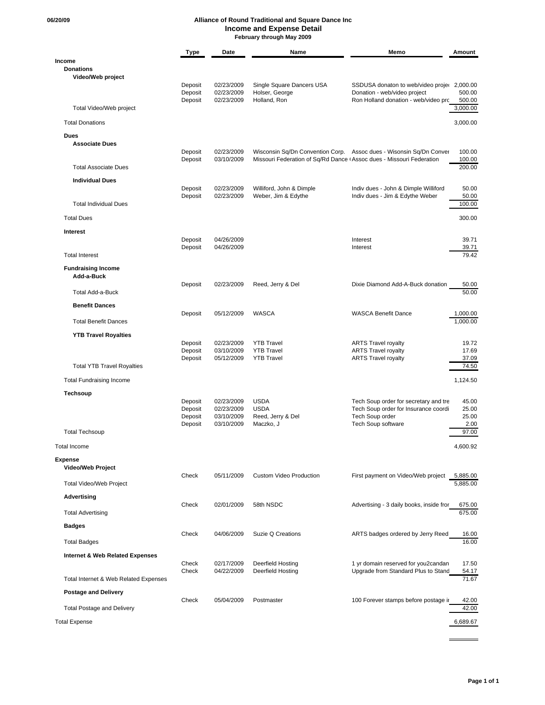#### **06/20/09 Alliance of Round Traditional and Square Dance Inc Income and Expense Detail February through May 2009**

|                                       | Type               | Date                     | Name                                                                 | Memo                                                                        | Amount               |
|---------------------------------------|--------------------|--------------------------|----------------------------------------------------------------------|-----------------------------------------------------------------------------|----------------------|
| Income<br><b>Donations</b>            |                    |                          |                                                                      |                                                                             |                      |
| Video/Web project                     |                    |                          |                                                                      |                                                                             |                      |
|                                       | Deposit<br>Deposit | 02/23/2009<br>02/23/2009 | Single Square Dancers USA<br>Holser, George                          | SSDUSA donaton to web/video projec 2,000.00<br>Donation - web/video project | 500.00               |
|                                       | Deposit            | 02/23/2009               | Holland, Ron                                                         | Ron Holland donation - web/video prc                                        | 500.00               |
| Total Video/Web project               |                    |                          |                                                                      |                                                                             | 3,000.00             |
| <b>Total Donations</b>                |                    |                          |                                                                      |                                                                             | 3,000.00             |
| <b>Dues</b><br><b>Associate Dues</b>  |                    |                          |                                                                      |                                                                             |                      |
|                                       | Deposit            | 02/23/2009               |                                                                      | Wisconsin Sq/Dn Convention Corp. Assoc dues - Wisonsin Sq/Dn Conver         | 100.00               |
| <b>Total Associate Dues</b>           | Deposit            | 03/10/2009               | Missouri Federation of Sq/Rd Dance (Assoc dues - Missouri Federation |                                                                             | 100.00<br>200.00     |
|                                       |                    |                          |                                                                      |                                                                             |                      |
| <b>Individual Dues</b>                | Deposit            | 02/23/2009               | Williford, John & Dimple                                             | Indiv dues - John & Dimple Williford                                        | 50.00                |
|                                       | Deposit            | 02/23/2009               | Weber, Jim & Edythe                                                  | Indiv dues - Jim & Edythe Weber                                             | 50.00                |
| <b>Total Individual Dues</b>          |                    |                          |                                                                      |                                                                             | 100.00               |
| <b>Total Dues</b>                     |                    |                          |                                                                      |                                                                             | 300.00               |
| <b>Interest</b>                       |                    |                          |                                                                      |                                                                             |                      |
|                                       | Deposit<br>Deposit | 04/26/2009<br>04/26/2009 |                                                                      | Interest<br>Interest                                                        | 39.71<br>39.71       |
| <b>Total Interest</b>                 |                    |                          |                                                                      |                                                                             | 79.42                |
| <b>Fundraising Income</b>             |                    |                          |                                                                      |                                                                             |                      |
| Add-a-Buck                            | Deposit            | 02/23/2009               | Reed, Jerry & Del                                                    | Dixie Diamond Add-A-Buck donation                                           | 50.00                |
| Total Add-a-Buck                      |                    |                          |                                                                      |                                                                             | 50.00                |
| <b>Benefit Dances</b>                 |                    |                          |                                                                      |                                                                             |                      |
| <b>Total Benefit Dances</b>           | Deposit            | 05/12/2009               | <b>WASCA</b>                                                         | <b>WASCA Benefit Dance</b>                                                  | 1,000.00<br>1,000.00 |
|                                       |                    |                          |                                                                      |                                                                             |                      |
| <b>YTB Travel Royalties</b>           | Deposit            | 02/23/2009               | <b>YTB Travel</b>                                                    | <b>ARTS Travel royalty</b>                                                  | 19.72                |
|                                       | Deposit            | 03/10/2009               | <b>YTB Travel</b>                                                    | <b>ARTS Travel royalty</b>                                                  | 17.69                |
| <b>Total YTB Travel Royalties</b>     | Deposit            | 05/12/2009               | <b>YTB Travel</b>                                                    | <b>ARTS Travel royalty</b>                                                  | 37.09<br>74.50       |
| <b>Total Fundraising Income</b>       |                    |                          |                                                                      |                                                                             | 1,124.50             |
|                                       |                    |                          |                                                                      |                                                                             |                      |
| <b>Techsoup</b>                       | Deposit            | 02/23/2009               | <b>USDA</b>                                                          | Tech Soup order for secretary and tre                                       | 45.00                |
|                                       | Deposit            | 02/23/2009               | <b>USDA</b>                                                          | Tech Soup order for Insurance coordi                                        | 25.00                |
|                                       | Deposit<br>Deposit | 03/10/2009<br>03/10/2009 | Reed, Jerry & Del<br>Maczko, J                                       | Tech Soup order<br>Tech Soup software                                       | 25.00<br>2.00        |
| <b>Total Techsoup</b>                 |                    |                          |                                                                      |                                                                             | 97.00                |
| Total Income                          |                    |                          |                                                                      |                                                                             | 4,600.92             |
| <b>Expense</b>                        |                    |                          |                                                                      |                                                                             |                      |
| <b>Video/Web Project</b>              | Check              | 05/11/2009               | <b>Custom Video Production</b>                                       | First payment on Video/Web project                                          | 5,885.00             |
| Total Video/Web Project               |                    |                          |                                                                      |                                                                             | 5,885.00             |
| Advertising                           |                    |                          |                                                                      |                                                                             |                      |
|                                       | Check              | 02/01/2009               | 58th NSDC                                                            | Advertising - 3 daily books, inside fror                                    | 675.00               |
| <b>Total Advertising</b>              |                    |                          |                                                                      |                                                                             | 675.00               |
| <b>Badges</b>                         | Check              | 04/06/2009               | Suzie Q Creations                                                    | ARTS badges ordered by Jerry Reed                                           | 16.00                |
| <b>Total Badges</b>                   |                    |                          |                                                                      |                                                                             | 16.00                |
| Internet & Web Related Expenses       |                    |                          |                                                                      |                                                                             |                      |
|                                       | Check              | 02/17/2009               | Deerfield Hosting                                                    | 1 yr domain reserved for you2candan                                         | 17.50                |
| Total Internet & Web Related Expenses | Check              | 04/22/2009               | Deerfield Hosting                                                    | Upgrade from Standard Plus to Stand                                         | 54.17<br>71.67       |
| <b>Postage and Delivery</b>           |                    |                          |                                                                      |                                                                             |                      |
|                                       | Check              | 05/04/2009               | Postmaster                                                           | 100 Forever stamps before postage ir                                        | 42.00                |
| <b>Total Postage and Delivery</b>     |                    |                          |                                                                      |                                                                             | 42.00                |
| <b>Total Expense</b>                  |                    |                          |                                                                      |                                                                             | 6,689.67             |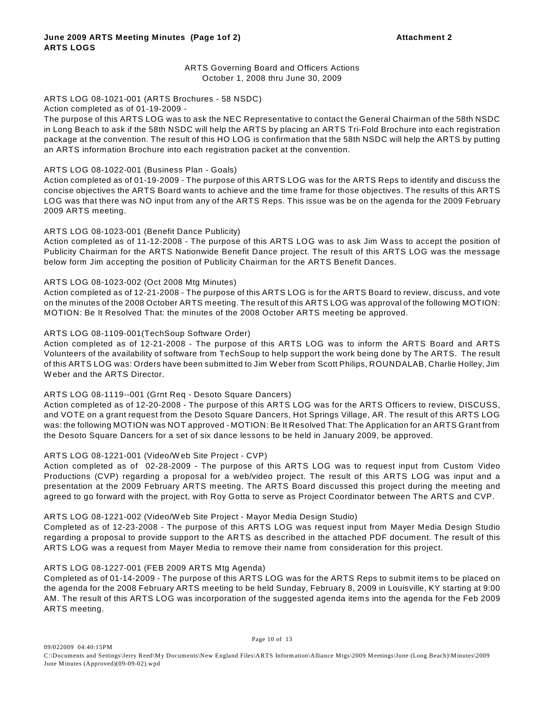## ARTS Governing Board and Officers Actions October 1, 2008 thru June 30, 2009

## ARTS LOG 08-1021-001 (ARTS Brochures - 58 NSDC)

#### Action completed as of 01-19-2009 -

The purpose of this ARTS LOG was to ask the NEC Representative to contact the General Chairman of the 58th NSDC in Long Beach to ask if the 58th NSDC will help the ARTS by placing an ARTS Tri-Fold Brochure into each registration package at the convention. The result of this HO LOG is confirmation that the 58th NSDC will help the ARTS by putting an ARTS information Brochure into each registration packet at the convention.

#### ARTS LOG 08-1022-001 (Business Plan - Goals)

Action completed as of 01-19-2009 - The purpose of this ARTS LOG was for the ARTS Reps to identify and discuss the concise objectives the ARTS Board wants to achieve and the time frame for those objectives. The results of this ARTS LOG was that there was NO input from any of the ARTS Reps. This issue was be on the agenda for the 2009 February 2009 ARTS meeting.

#### ARTS LOG 08-1023-001 (Benefit Dance Publicity)

Action completed as of 11-12-2008 - The purpose of this ARTS LOG was to ask Jim W ass to accept the position of Publicity Chairman for the ARTS Nationwide Benefit Dance project. The result of this ARTS LOG was the message below form Jim accepting the position of Publicity Chairman for the ARTS Benefit Dances.

#### ARTS LOG 08-1023-002 (Oct 2008 Mtg Minutes)

Action completed as of 12-21-2008 - The purpose of this ARTS LOG is for the ARTS Board to review, discuss, and vote on the minutes of the 2008 October ARTS meeting. The result of this ARTS LOG was approval of the following MOTION: MOTION: Be It Resolved That: the minutes of the 2008 October ARTS meeting be approved.

#### ARTS LOG 08-1109-001(TechSoup Software Order)

Action completed as of 12-21-2008 - The purpose of this ARTS LOG was to inform the ARTS Board and ARTS Volunteers of the availability of software from TechSoup to help support the work being done by The ARTS. The result of this ARTS LOG was: Orders have been submitted to Jim W eber from Scott Philips, ROUNDALAB, Charlie Holley, Jim W eber and the ARTS Director.

#### ARTS LOG 08-1119--001 (Grnt Req - Desoto Square Dancers)

Action completed as of 12-20-2008 - The purpose of this ARTS LOG was for the ARTS Officers to review, DISCUSS, and VOTE on a grant request from the Desoto Square Dancers, Hot Springs Village, AR. The result of this ARTS LOG was: the following MOTION was NOT approved - MOTION: Be It Resolved That: The Application for an ARTS Grant from the Desoto Square Dancers for a set of six dance lessons to be held in January 2009, be approved.

#### ARTS LOG 08-1221-001 (Video/W eb Site Project - CVP)

Action completed as of 02-28-2009 - The purpose of this ARTS LOG was to request input from Custom Video Productions (CVP) regarding a proposal for a web/video project. The result of this ARTS LOG was input and a presentation at the 2009 February ARTS meeting. The ARTS Board discussed this project during the meeting and agreed to go forward with the project, with Roy Gotta to serve as Project Coordinator between The ARTS and CVP.

#### ARTS LOG 08-1221-002 (Video/W eb Site Project - Mayor Media Design Studio)

Completed as of 12-23-2008 - The purpose of this ARTS LOG was request input from Mayer Media Design Studio regarding a proposal to provide support to the ARTS as described in the attached PDF document. The result of this ARTS LOG was a request from Mayer Media to remove their name from consideration for this project.

#### ARTS LOG 08-1227-001 (FEB 2009 ARTS Mtg Agenda)

Completed as of 01-14-2009 - The purpose of this ARTS LOG was for the ARTS Reps to submit items to be placed on the agenda for the 2008 February ARTS meeting to be held Sunday, February 8, 2009 in Louisville, KY starting at 9:00 AM. The result of this ARTS LOG was incorporation of the suggested agenda items into the agenda for the Feb 2009 ARTS meeting.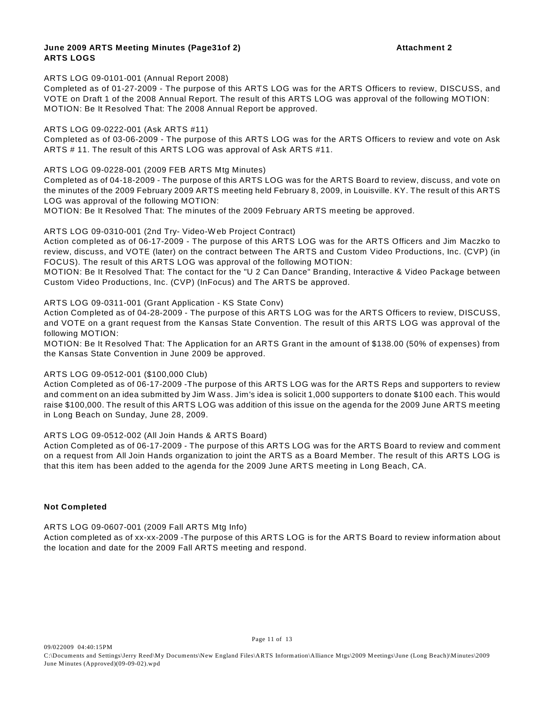#### **June 2009 ARTS Meeting Minutes (Page31of 2) Attachment 2 ARTS LOGS**

ARTS LOG 09-0101-001 (Annual Report 2008)

Completed as of 01-27-2009 - The purpose of this ARTS LOG was for the ARTS Officers to review, DISCUSS, and VOTE on Draft 1 of the 2008 Annual Report. The result of this ARTS LOG was approval of the following MOTION: MOTION: Be It Resolved That: The 2008 Annual Report be approved.

#### ARTS LOG 09-0222-001 (Ask ARTS #11)

Completed as of 03-06-2009 - The purpose of this ARTS LOG was for the ARTS Officers to review and vote on Ask ARTS # 11. The result of this ARTS LOG was approval of Ask ARTS #11.

ARTS LOG 09-0228-001 (2009 FEB ARTS Mtg Minutes)

Completed as of 04-18-2009 - The purpose of this ARTS LOG was for the ARTS Board to review, discuss, and vote on the minutes of the 2009 February 2009 ARTS meeting held February 8, 2009, in Louisville. KY. The result of this ARTS LOG was approval of the following MOTION:

MOTION: Be It Resolved That: The minutes of the 2009 February ARTS meeting be approved.

## ARTS LOG 09-0310-001 (2nd Try- Video-W eb Project Contract)

Action completed as of 06-17-2009 - The purpose of this ARTS LOG was for the ARTS Officers and Jim Maczko to review, discuss, and VOTE (later) on the contract between The ARTS and Custom Video Productions, Inc. (CVP) (in FOCUS). The result of this ARTS LOG was approval of the following MOTION:

MOTION: Be It Resolved That: The contact for the "U 2 Can Dance" Branding, Interactive & Video Package between Custom Video Productions, Inc. (CVP) (InFocus) and The ARTS be approved.

## ARTS LOG 09-0311-001 (Grant Application - KS State Conv)

Action Completed as of 04-28-2009 - The purpose of this ARTS LOG was for the ARTS Officers to review, DISCUSS, and VOTE on a grant request from the Kansas State Convention. The result of this ARTS LOG was approval of the following MOTION:

MOTION: Be It Resolved That: The Application for an ARTS Grant in the amount of \$138.00 (50% of expenses) from the Kansas State Convention in June 2009 be approved.

#### ARTS LOG 09-0512-001 (\$100,000 Club)

Action Completed as of 06-17-2009 -The purpose of this ARTS LOG was for the ARTS Reps and supporters to review and comment on an idea submitted by Jim W ass. Jim's idea is solicit 1,000 supporters to donate \$100 each. This would raise \$100,000. The result of this ARTS LOG was addition of this issue on the agenda for the 2009 June ARTS meeting in Long Beach on Sunday, June 28, 2009.

#### ARTS LOG 09-0512-002 (All Join Hands & ARTS Board)

Action Completed as of 06-17-2009 - The purpose of this ARTS LOG was for the ARTS Board to review and comment on a request from All Join Hands organization to joint the ARTS as a Board Member. The result of this ARTS LOG is that this item has been added to the agenda for the 2009 June ARTS meeting in Long Beach, CA.

#### **Not Completed**

#### ARTS LOG 09-0607-001 (2009 Fall ARTS Mtg Info)

Action completed as of xx-xx-2009 -The purpose of this ARTS LOG is for the ARTS Board to review information about the location and date for the 2009 Fall ARTS meeting and respond.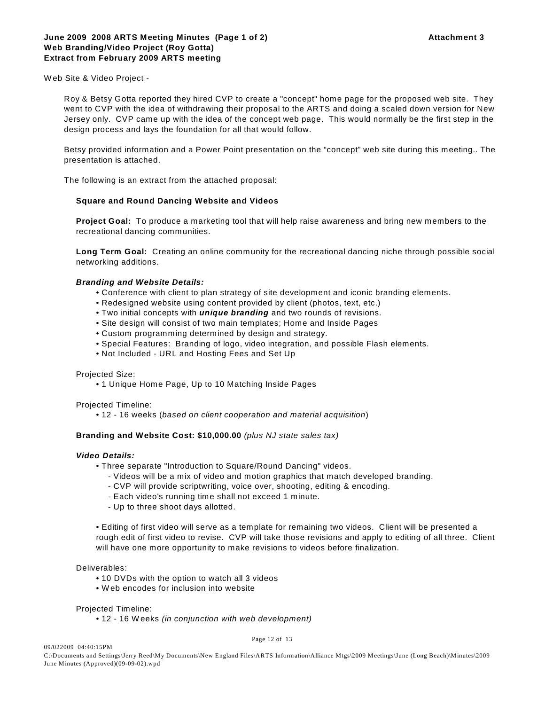W eb Site & Video Project -

Roy & Betsy Gotta reported they hired CVP to create a "concept" home page for the proposed web site. They went to CVP with the idea of withdrawing their proposal to the ARTS and doing a scaled down version for New Jersey only. CVP came up with the idea of the concept web page. This would normally be the first step in the design process and lays the foundation for all that would follow.

Betsy provided information and a Power Point presentation on the "concept" web site during this meeting.. The presentation is attached.

The following is an extract from the attached proposal:

## **Square and Round Dancing Website and Videos**

**Project Goal:** To produce a marketing tool that will help raise awareness and bring new members to the recreational dancing communities.

**Long Term Goal:** Creating an online community for the recreational dancing niche through possible social networking additions.

#### *Branding and Website Details:*

- Conference with client to plan strategy of site development and iconic branding elements.
- Redesigned website using content provided by client (photos, text, etc.)
- Two initial concepts with *unique branding* and two rounds of revisions.
- Site design will consist of two main templates; Home and Inside Pages
- Custom programming determined by design and strategy.
- Special Features: Branding of logo, video integration, and possible Flash elements.
- Not Included URL and Hosting Fees and Set Up

#### Projected Size:

• 1 Unique Home Page, Up to 10 Matching Inside Pages

#### Projected Timeline:

• 12 - 16 weeks (*based on client cooperation and material acquisition*)

#### **Branding and Website Cost: \$10,000.00** *(plus NJ state sales tax)*

#### *Video Details:*

- Three separate "Introduction to Square/Round Dancing" videos.
	- Videos will be a mix of video and motion graphics that match developed branding.
	- CVP will provide scriptwriting, voice over, shooting, editing & encoding.
	- Each video's running time shall not exceed 1 minute.
	- Up to three shoot days allotted.

• Editing of first video will serve as a template for remaining two videos. Client will be presented a rough edit of first video to revise. CVP will take those revisions and apply to editing of all three. Client will have one more opportunity to make revisions to videos before finalization.

## Deliverables:

09/022009 04:40:15PM

- 10 DVDs with the option to watch all 3 videos
- W eb encodes for inclusion into website

#### Projected Timeline:

• 12 - 16 Weeks *(in conjunction with web development)*